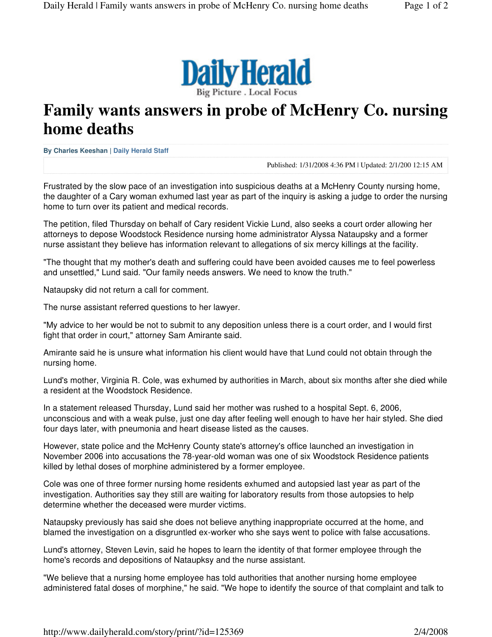

## **Family wants answers in probe of McHenry Co. nursing home deaths**

**By Charles Keeshan | Daily Herald Staff** 

Published: 1/31/2008 4:36 PM | Updated: 2/1/200 12:15 AM

Frustrated by the slow pace of an investigation into suspicious deaths at a McHenry County nursing home, the daughter of a Cary woman exhumed last year as part of the inquiry is asking a judge to order the nursing home to turn over its patient and medical records.

The petition, filed Thursday on behalf of Cary resident Vickie Lund, also seeks a court order allowing her attorneys to depose Woodstock Residence nursing home administrator Alyssa Nataupsky and a former nurse assistant they believe has information relevant to allegations of six mercy killings at the facility.

"The thought that my mother's death and suffering could have been avoided causes me to feel powerless and unsettled," Lund said. "Our family needs answers. We need to know the truth."

Nataupsky did not return a call for comment.

The nurse assistant referred questions to her lawyer.

"My advice to her would be not to submit to any deposition unless there is a court order, and I would first fight that order in court," attorney Sam Amirante said.

Amirante said he is unsure what information his client would have that Lund could not obtain through the nursing home.

Lund's mother, Virginia R. Cole, was exhumed by authorities in March, about six months after she died while a resident at the Woodstock Residence.

In a statement released Thursday, Lund said her mother was rushed to a hospital Sept. 6, 2006, unconscious and with a weak pulse, just one day after feeling well enough to have her hair styled. She died four days later, with pneumonia and heart disease listed as the causes.

However, state police and the McHenry County state's attorney's office launched an investigation in November 2006 into accusations the 78-year-old woman was one of six Woodstock Residence patients killed by lethal doses of morphine administered by a former employee.

Cole was one of three former nursing home residents exhumed and autopsied last year as part of the investigation. Authorities say they still are waiting for laboratory results from those autopsies to help determine whether the deceased were murder victims.

Nataupsky previously has said she does not believe anything inappropriate occurred at the home, and blamed the investigation on a disgruntled ex-worker who she says went to police with false accusations.

Lund's attorney, Steven Levin, said he hopes to learn the identity of that former employee through the home's records and depositions of Nataupksy and the nurse assistant.

"We believe that a nursing home employee has told authorities that another nursing home employee administered fatal doses of morphine," he said. "We hope to identify the source of that complaint and talk to